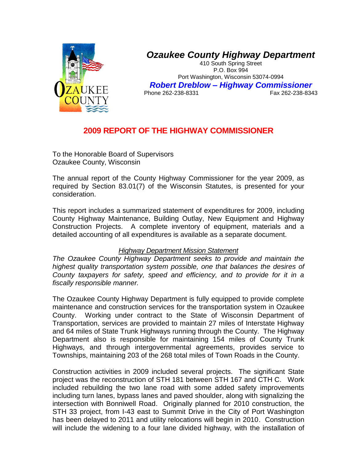

## *Ozaukee County Highway Department*

410 South Spring Street P.O. Box 994 Port Washington, Wisconsin 53074-0994 *Robert Dreblow – Highway Commissioner* Phone 262-238-8331

## **2009 REPORT OF THE HIGHWAY COMMISSIONER**

To the Honorable Board of Supervisors Ozaukee County, Wisconsin

The annual report of the County Highway Commissioner for the year 2009, as required by Section 83.01(7) of the Wisconsin Statutes, is presented for your consideration.

This report includes a summarized statement of expenditures for 2009, including County Highway Maintenance, Building Outlay, New Equipment and Highway Construction Projects. A complete inventory of equipment, materials and a detailed accounting of all expenditures is available as a separate document.

### *Highway Department Mission Statement*

*The Ozaukee County Highway Department seeks to provide and maintain the highest quality transportation system possible, one that balances the desires of County taxpayers for safety, speed and efficiency, and to provide for it in a fiscally responsible manner.* 

The Ozaukee County Highway Department is fully equipped to provide complete maintenance and construction services for the transportation system in Ozaukee County. Working under contract to the State of Wisconsin Department of Transportation, services are provided to maintain 27 miles of Interstate Highway and 64 miles of State Trunk Highways running through the County. The Highway Department also is responsible for maintaining 154 miles of County Trunk Highways, and through intergovernmental agreements, provides service to Townships, maintaining 203 of the 268 total miles of Town Roads in the County.

Construction activities in 2009 included several projects. The significant State project was the reconstruction of STH 181 between STH 167 and CTH C. Work included rebuilding the two lane road with some added safety improvements including turn lanes, bypass lanes and paved shoulder, along with signalizing the intersection with Bonniwell Road. Originally planned for 2010 construction, the STH 33 project, from I-43 east to Summit Drive in the City of Port Washington has been delayed to 2011 and utility relocations will begin in 2010. Construction will include the widening to a four lane divided highway, with the installation of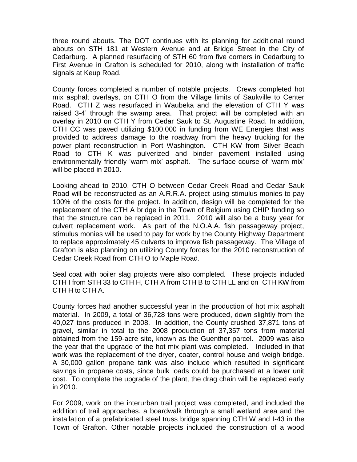three round abouts. The DOT continues with its planning for additional round abouts on STH 181 at Western Avenue and at Bridge Street in the City of Cedarburg. A planned resurfacing of STH 60 from five corners in Cedarburg to First Avenue in Grafton is scheduled for 2010, along with installation of traffic signals at Keup Road.

County forces completed a number of notable projects. Crews completed hot mix asphalt overlays, on CTH O from the Village limits of Saukville to Center Road. CTH Z was resurfaced in Waubeka and the elevation of CTH Y was raised 3-4' through the swamp area. That project will be completed with an overlay in 2010 on CTH Y from Cedar Sauk to St. Augustine Road. In addition, CTH CC was paved utilizing \$100,000 in funding from WE Energies that was provided to address damage to the roadway from the heavy trucking for the power plant reconstruction in Port Washington. CTH KW from Silver Beach Road to CTH K was pulverized and binder pavement installed using environmentally friendly 'warm mix' asphalt. The surface course of 'warm mix' will be placed in 2010.

Looking ahead to 2010, CTH O between Cedar Creek Road and Cedar Sauk Road will be reconstructed as an A.R.R.A. project using stimulus monies to pay 100% of the costs for the project. In addition, design will be completed for the replacement of the CTH A bridge in the Town of Belgium using CHIP funding so that the structure can be replaced in 2011. 2010 will also be a busy year for culvert replacement work. As part of the N.O.A.A. fish passageway project, stimulus monies will be used to pay for work by the County Highway Department to replace approximately 45 culverts to improve fish passageway. The Village of Grafton is also planning on utilizing County forces for the 2010 reconstruction of Cedar Creek Road from CTH O to Maple Road.

Seal coat with boiler slag projects were also completed. These projects included CTH I from STH 33 to CTH H, CTH A from CTH B to CTH LL and on CTH KW from CTH H to CTH A.

County forces had another successful year in the production of hot mix asphalt material. In 2009, a total of 36,728 tons were produced, down slightly from the 40,027 tons produced in 2008. In addition, the County crushed 37,871 tons of gravel, similar in total to the 2008 production of 37,357 tons from material obtained from the 159-acre site, known as the Guenther parcel. 2009 was also the year that the upgrade of the hot mix plant was completed. Included in that work was the replacement of the dryer, coater, control house and weigh bridge. A 30,000 gallon propane tank was also include which resulted in significant savings in propane costs, since bulk loads could be purchased at a lower unit cost. To complete the upgrade of the plant, the drag chain will be replaced early in 2010.

For 2009, work on the interurban trail project was completed, and included the addition of trail approaches, a boardwalk through a small wetland area and the installation of a prefabricated steel truss bridge spanning CTH W and I-43 in the Town of Grafton. Other notable projects included the construction of a wood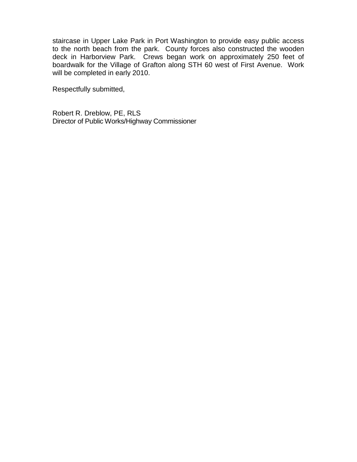staircase in Upper Lake Park in Port Washington to provide easy public access to the north beach from the park. County forces also constructed the wooden deck in Harborview Park. Crews began work on approximately 250 feet of boardwalk for the Village of Grafton along STH 60 west of First Avenue. Work will be completed in early 2010.

Respectfully submitted,

Robert R. Dreblow, PE, RLS Director of Public Works/Highway Commissioner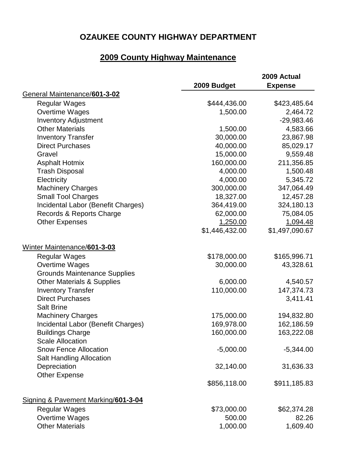# **2009 County Highway Maintenance**

|                                       |                | 2009 Actual    |
|---------------------------------------|----------------|----------------|
|                                       | 2009 Budget    | <b>Expense</b> |
| General Maintenance/601-3-02          |                |                |
| <b>Regular Wages</b>                  | \$444,436.00   | \$423,485.64   |
| Overtime Wages                        | 1,500.00       | 2,464.72       |
| <b>Inventory Adjustment</b>           |                | $-29,983.46$   |
| <b>Other Materials</b>                | 1,500.00       | 4,583.66       |
| <b>Inventory Transfer</b>             | 30,000.00      | 23,867.98      |
| <b>Direct Purchases</b>               | 40,000.00      | 85,029.17      |
| Gravel                                | 15,000.00      | 9,559.48       |
| <b>Asphalt Hotmix</b>                 | 160,000.00     | 211,356.85     |
| <b>Trash Disposal</b>                 | 4,000.00       | 1,500.48       |
| Electricity                           | 4,000.00       | 5,345.72       |
| <b>Machinery Charges</b>              | 300,000.00     | 347,064.49     |
| <b>Small Tool Charges</b>             | 18,327.00      | 12,457.28      |
| Incidental Labor (Benefit Charges)    | 364,419.00     | 324,180.13     |
| Records & Reports Charge              | 62,000.00      | 75,084.05      |
| <b>Other Expenses</b>                 | 1,250.00       | 1,094.48       |
|                                       | \$1,446,432.00 | \$1,497,090.67 |
| Winter Maintenance/601-3-03           |                |                |
| <b>Regular Wages</b>                  | \$178,000.00   | \$165,996.71   |
| Overtime Wages                        | 30,000.00      | 43,328.61      |
| <b>Grounds Maintenance Supplies</b>   |                |                |
| <b>Other Materials &amp; Supplies</b> | 6,000.00       | 4,540.57       |
| <b>Inventory Transfer</b>             | 110,000.00     | 147,374.73     |
| <b>Direct Purchases</b>               |                | 3,411.41       |
| <b>Salt Brine</b>                     |                |                |
| <b>Machinery Charges</b>              | 175,000.00     | 194,832.80     |
| Incidental Labor (Benefit Charges)    | 169,978.00     | 162,186.59     |
| <b>Buildings Charge</b>               | 160,000.00     | 163,222.08     |
| <b>Scale Allocation</b>               |                |                |
| <b>Snow Fence Allocation</b>          | $-5,000.00$    | $-5,344.00$    |
| <b>Salt Handling Allocation</b>       |                |                |
| Depreciation                          | 32,140.00      | 31,636.33      |
| <b>Other Expense</b>                  |                |                |
|                                       | \$856,118.00   | \$911,185.83   |
| Signing & Pavement Marking/601-3-04   |                |                |
| <b>Regular Wages</b>                  | \$73,000.00    | \$62,374.28    |
| Overtime Wages                        | 500.00         | 82.26          |
| <b>Other Materials</b>                | 1,000.00       | 1,609.40       |
|                                       |                |                |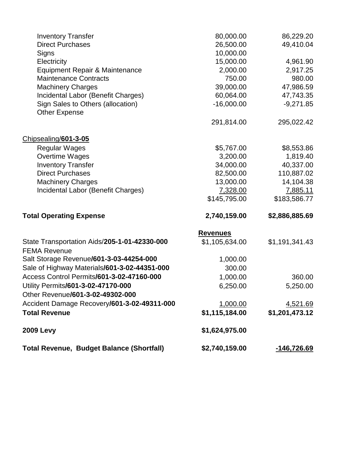| <b>Total Revenue, Budget Balance (Shortfall)</b>               | \$2,740,159.00                    | -146,726.69              |
|----------------------------------------------------------------|-----------------------------------|--------------------------|
| <b>2009 Levy</b>                                               | \$1,624,975.00                    |                          |
| <b>Total Revenue</b>                                           | \$1,115,184.00                    | \$1,201,473.12           |
| Accident Damage Recovery/601-3-02-49311-000                    | 1,000.00                          | <u>4,521.69</u>          |
| Other Revenue/601-3-02-49302-000                               |                                   |                          |
| Utility Permits/601-3-02-47170-000                             | 6,250.00                          | 5,250.00                 |
| Access Control Permits/601-3-02-47160-000                      | 1,000.00                          | 360.00                   |
| Sale of Highway Materials/601-3-02-44351-000                   | 300.00                            |                          |
| <b>FEMA Revenue</b><br>Salt Storage Revenue/601-3-03-44254-000 | 1,000.00                          |                          |
| State Transportation Aids/205-1-01-42330-000                   | <b>Revenues</b><br>\$1,105,634.00 | \$1,191,341.43           |
| <b>Total Operating Expense</b>                                 | 2,740,159.00                      | \$2,886,885.69           |
|                                                                | \$145,795.00                      | \$183,586.77             |
| Incidental Labor (Benefit Charges)                             | 7,328.00                          | 7,885.11                 |
| <b>Machinery Charges</b>                                       | 13,000.00                         | 14,104.38                |
| <b>Direct Purchases</b>                                        | 82,500.00                         | 110,887.02               |
| <b>Inventory Transfer</b>                                      | 34,000.00                         | 40,337.00                |
| <b>Overtime Wages</b>                                          | 3,200.00                          | 1,819.40                 |
| Chipsealing/601-3-05<br><b>Regular Wages</b>                   | \$5,767.00                        | \$8,553.86               |
|                                                                | 291,814.00                        | 295,022.42               |
| <b>Other Expense</b>                                           |                                   |                          |
| Sign Sales to Others (allocation)                              | 60,064.00<br>$-16,000.00$         | 47,743.35<br>$-9,271.85$ |
| <b>Machinery Charges</b><br>Incidental Labor (Benefit Charges) | 39,000.00                         | 47,986.59                |
| <b>Maintenance Contracts</b>                                   | 750.00                            | 980.00                   |
| <b>Equipment Repair &amp; Maintenance</b>                      | 2,000.00                          | 2,917.25                 |
| Electricity                                                    | 15,000.00                         | 4,961.90                 |
| Signs                                                          | 10,000.00                         |                          |
| <b>Direct Purchases</b>                                        | 26,500.00                         | 49,410.04                |
| <b>Inventory Transfer</b>                                      | 80,000.00                         | 86,229.20                |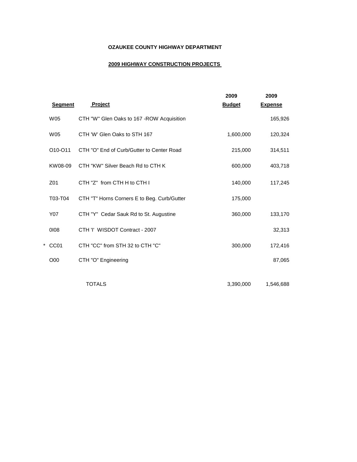#### **2009 HIGHWAY CONSTRUCTION PROJECTS**

|   |                |                                             | 2009          | 2009           |
|---|----------------|---------------------------------------------|---------------|----------------|
|   | <b>Segment</b> | <b>Project</b>                              | <b>Budget</b> | <b>Expense</b> |
|   | <b>W05</b>     | CTH "W" Glen Oaks to 167 - ROW Acquisition  |               | 165,926        |
|   | <b>W05</b>     | CTH 'W' Glen Oaks to STH 167                | 1,600,000     | 120,324        |
|   | O10-O11        | CTH "O" End of Curb/Gutter to Center Road   | 215,000       | 314,511        |
|   | KW08-09        | CTH "KW" Silver Beach Rd to CTH K           | 600,000       | 403,718        |
|   | Z01            | CTH "Z" from CTH H to CTH I                 | 140,000       | 117,245        |
|   | T03-T04        | CTH "T" Horns Corners E to Beg. Curb/Gutter | 175,000       |                |
|   | Y07            | CTH "Y" Cedar Sauk Rd to St. Augustine      | 360,000       | 133,170        |
|   | 0108           | CTH 'I' WISDOT Contract - 2007              |               | 32,313         |
| * | CC01           | CTH "CC" from STH 32 to CTH "C"             | 300,000       | 172,416        |
|   | O00            | CTH "O" Engineering                         |               | 87,065         |
|   |                |                                             |               |                |
|   |                | <b>TOTALS</b>                               | 3,390,000     | 1,546,688      |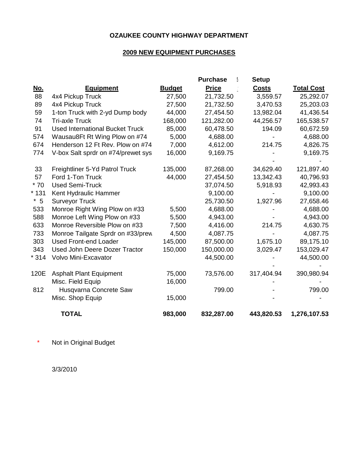### **2009 NEW EQUIPMENT PURCHASES**

|            |                                        |               | <b>Purchase</b><br>м | <b>Setup</b> |                   |
|------------|----------------------------------------|---------------|----------------------|--------------|-------------------|
| <u>No.</u> | <b>Equipment</b>                       | <b>Budget</b> | <b>Price</b>         | <b>Costs</b> | <b>Total Cost</b> |
| 88         | 4x4 Pickup Truck                       | 27,500        | 21,732.50            | 3,559.57     | 25,292.07         |
| 89         | 4x4 Pickup Truck                       | 27,500        | 21,732.50            | 3,470.53     | 25,203.03         |
| 59         | 1-ton Truck with 2-yd Dump body        | 44,000        | 27,454.50            | 13,982.04    | 41,436.54         |
| 74         | <b>Tri-axle Truck</b>                  | 168,000       | 121,282.00           | 44,256.57    | 165,538.57        |
| 91         | <b>Used International Bucket Truck</b> | 85,000        | 60,478.50            | 194.09       | 60,672.59         |
| 574        | Wausau8Ft Rt Wing Plow on #74          | 5,000         | 4,688.00             |              | 4,688.00          |
| 674        | Henderson 12 Ft Rev. Plow on #74       | 7,000         | 4,612.00             | 214.75       | 4,826.75          |
| 774        | V-box Salt sprdr on #74/prewet sys     | 16,000        | 9,169.75             |              | 9,169.75          |
| 33         | Freightliner 5-Yd Patrol Truck         | 135,000       | 87,268.00            | 34,629.40    | 121,897.40        |
| 57         | Ford 1-Ton Truck                       | 44,000        | 27,454.50            | 13,342.43    | 40,796.93         |
| $*70$      | <b>Used Semi-Truck</b>                 |               | 37,074.50            | 5,918.93     | 42,993.43         |
| $*131$     | Kent Hydraulic Hammer                  |               | 9,100.00             |              | 9,100.00          |
| $*5$       | <b>Surveyor Truck</b>                  |               | 25,730.50            | 1,927.96     | 27,658.46         |
| 533        | Monroe Right Wing Plow on #33          | 5,500         | 4,688.00             |              | 4,688.00          |
| 588        | Monroe Left Wing Plow on #33           | 5,500         | 4,943.00             |              | 4,943.00          |
| 633        | Monroe Reversible Plow on #33          | 7,500         | 4,416.00             | 214.75       | 4,630.75          |
| 733        | Monroe Tailgate Sprdr on #33/prew      | 4,500         | 4,087.75             |              | 4,087.75          |
| 303        | <b>Used Front-end Loader</b>           | 145,000       | 87,500.00            | 1,675.10     | 89,175.10         |
| 343        | Used John Deere Dozer Tractor          | 150,000       | 150,000.00           | 3,029.47     | 153,029.47        |
| $*314$     | Volvo Mini-Excavator                   |               | 44,500.00            |              | 44,500.00         |
| 120E       | <b>Asphalt Plant Equipment</b>         | 75,000        | 73,576.00            | 317,404.94   | 390,980.94        |
|            | Misc. Field Equip                      | 16,000        |                      |              |                   |
| 812        | Husqvarna Concrete Saw                 |               | 799.00               |              | 799.00            |
|            | Misc. Shop Equip                       | 15,000        |                      |              |                   |
|            | <b>TOTAL</b>                           | 983,000       | 832,287.00           | 443,820.53   | 1,276,107.53      |

\* Not in Original Budget

3/3/2010